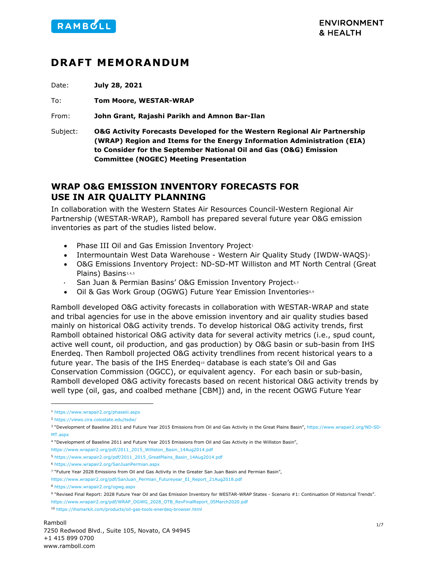

# **DRAFT MEMORANDUM**

Date: **July 28, 2021**

To: **Tom Moore, WESTAR-WRAP**

From: **John Grant, Rajashi Parikh and Amnon Bar-Ilan** 

Subject: **O&G Activity Forecasts Developed for the Western Regional Air Partnership (WRAP) Region and Items for the Energy Information Administration (EIA) to Consider for the September National Oil and Gas (O&G) Emission Committee (NOGEC) Meeting Presentation**

## **WRAP O&G EMISSION INVENTORY FORECASTS FOR USE IN AIR QUALITY PLANNING**

In collaboration with the Western States Air Resources Council-Western Regional Air Partnership (WESTAR-WRAP), Ramboll has prepared several future year O&G emission inventories as part of the studies listed below.

- Phase III Oil and Gas Emission Inventory Project<sup>[1](#page-0-0)</sup>
- Intermountain West Data Warehouse Western Air Quality Study (IWDW-WAQS)<sup>[2](#page-0-1)</sup>
- <span id="page-0-12"></span>• O&G Emissions Inventory Project: ND-SD-MT Williston and MT North Central (Great Plains) Basins<sub>[3,](#page-0-2)[4](#page-0-3),[5](#page-0-4)</sub>
- <span id="page-0-11"></span><span id="page-0-10"></span>San Juan & Permian Basins' O&G Emission Inventory Project<sup>6,[7](#page-0-6)</sup>
- Oil & Gas Work Group (OGWG) Future Year Emission Inventories[8,](#page-0-7)[9](#page-0-8)

Ramboll developed O&G activity forecasts in collaboration with WESTAR-WRAP and state and tribal agencies for use in the above emission inventory and air quality studies based mainly on historical O&G activity trends. To develop historical O&G activity trends, first Ramboll obtained historical O&G activity data for several activity metrics (i.e., spud count, active well count, oil production, and gas production) by O&G basin or sub-basin from IHS Enerdeq. Then Ramboll projected O&G activity trendlines from recent historical years to a future year. The basis of the IHS Enerdeq[10](#page-0-9) database is each state's Oil and Gas Conservation Commission (OGCC), or equivalent agency. For each basin or sub-basin, Ramboll developed O&G activity forecasts based on recent historical O&G activity trends by well type (oil, gas, and coalbed methane [CBM]) and, in the recent OGWG Future Year

<span id="page-0-0"></span><sup>1</sup> <https://www.wrapair2.org/phaseiii.aspx>

<span id="page-0-1"></span><sup>2</sup> <https://views.cira.colostate.edu/tsdw/>

<span id="page-0-2"></span><sup>&</sup>lt;sup>3</sup> "Development of Baseline 2011 and Future Year 2015 Emissions from Oil and Gas Activity in the Great Plains Basin"[, https://www.wrapair2.org/ND-SD-](https://www.wrapair2.org/ND-SD-MT.aspx)MT aspx

<span id="page-0-3"></span><sup>4</sup> "Development of Baseline 2011 and Future Year 2015 Emissions from Oil and Gas Activity in the Williston Basin",

[https://www.wrapair2.org/pdf/2011\\_2015\\_Williston\\_Basin\\_14Aug2014.pdf](https://www.wrapair2.org/pdf/2011_2015_Williston_Basin_14Aug2014.pdf)

<span id="page-0-4"></span><sup>5</sup> [https://www.wrapair2.org/pdf/2011\\_2015\\_GreatPlains\\_Basin\\_14Aug2014.pdf](https://www.wrapair2.org/pdf/2011_2015_GreatPlains_Basin_14Aug2014.pdf)

<span id="page-0-5"></span><sup>6</sup> <https://www.wrapair2.org/SanJuanPermian.aspx>

<span id="page-0-6"></span><sup>7</sup> "Future Year 2028 Emissions from Oil and Gas Activity in the Greater San Juan Basin and Permian Basin",

[https://www.wrapair2.org/pdf/SanJuan\\_Permian\\_Futureyear\\_EI\\_Report\\_21Aug2018.pdf](https://www.wrapair2.org/pdf/SanJuan_Permian_Futureyear_EI_Report_21Aug2018.pdf)

<span id="page-0-7"></span><sup>8</sup> <https://www.wrapair2.org/ogwg.aspx>

<span id="page-0-8"></span><sup>9</sup> "Revised Final Report: 2028 Future Year Oil and Gas Emission Inventory for WESTAR-WRAP States - Scenario #1: Continuation Of Historical Trends". [https://www.wrapair2.org/pdf/WRAP\\_OGWG\\_2028\\_OTB\\_RevFinalReport\\_05March2020.pdf](https://www.wrapair2.org/pdf/WRAP_OGWG_2028_OTB_RevFinalReport_05March2020.pdf)

<span id="page-0-9"></span><sup>10</sup> <https://ihsmarkit.com/products/oil-gas-tools-enerdeq-browser.html>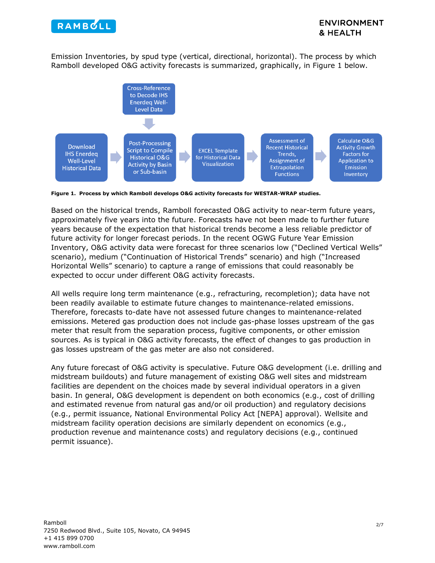

Emission Inventories, by spud type (vertical, directional, horizontal). The process by which Ramboll developed O&G activity forecasts is summarized, graphically, in Figure 1 below.



**Figure 1. Process by which Ramboll develops O&G activity forecasts for WESTAR-WRAP studies.**

Based on the historical trends, Ramboll forecasted O&G activity to near-term future years, approximately five years into the future. Forecasts have not been made to further future years because of the expectation that historical trends become a less reliable predictor of future activity for longer forecast periods. In the recent OGWG Future Year Emission Inventory, O&G activity data were forecast for three scenarios low ("Declined Vertical Wells" scenario), medium ("Continuation of Historical Trends" scenario) and high ("Increased Horizontal Wells" scenario) to capture a range of emissions that could reasonably be expected to occur under different O&G activity forecasts.

All wells require long term maintenance (e.g., refracturing, recompletion); data have not been readily available to estimate future changes to maintenance-related emissions. Therefore, forecasts to-date have not assessed future changes to maintenance-related emissions. Metered gas production does not include gas-phase losses upstream of the gas meter that result from the separation process, fugitive components, or other emission sources. As is typical in O&G activity forecasts, the effect of changes to gas production in gas losses upstream of the gas meter are also not considered.

Any future forecast of O&G activity is speculative. Future O&G development (i.e. drilling and midstream buildouts) and future management of existing O&G well sites and midstream facilities are dependent on the choices made by several individual operators in a given basin. In general, O&G development is dependent on both economics (e.g., cost of drilling and estimated revenue from natural gas and/or oil production) and regulatory decisions (e.g., permit issuance, National Environmental Policy Act [NEPA] approval). Wellsite and midstream facility operation decisions are similarly dependent on economics (e.g., production revenue and maintenance costs) and regulatory decisions (e.g., continued permit issuance).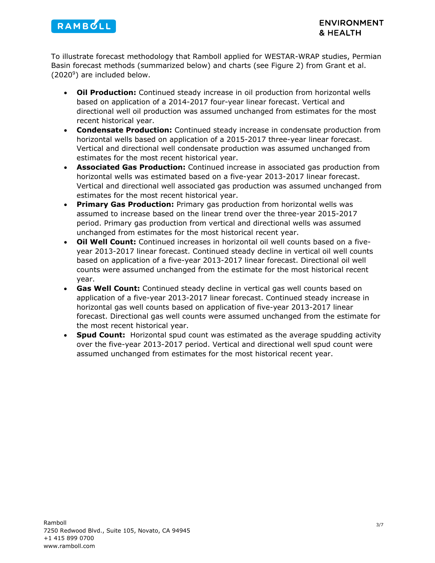

To illustrate forecast methodology that Ramboll applied for WESTAR-WRAP studies, Permian Basin forecast methods (summarized below) and charts (see Figure 2) from Grant et al. (202[09\)](#page-0-10) are included below.

- **Oil Production:** Continued steady increase in oil production from horizontal wells based on application of a 2014-2017 four-year linear forecast. Vertical and directional well oil production was assumed unchanged from estimates for the most recent historical year.
- **Condensate Production:** Continued steady increase in condensate production from horizontal wells based on application of a 2015-2017 three-year linear forecast. Vertical and directional well condensate production was assumed unchanged from estimates for the most recent historical year.
- **Associated Gas Production:** Continued increase in associated gas production from horizontal wells was estimated based on a five-year 2013-2017 linear forecast. Vertical and directional well associated gas production was assumed unchanged from estimates for the most recent historical year.
- **Primary Gas Production:** Primary gas production from horizontal wells was assumed to increase based on the linear trend over the three-year 2015-2017 period. Primary gas production from vertical and directional wells was assumed unchanged from estimates for the most historical recent year.
- **Oil Well Count:** Continued increases in horizontal oil well counts based on a fiveyear 2013-2017 linear forecast. Continued steady decline in vertical oil well counts based on application of a five-year 2013-2017 linear forecast. Directional oil well counts were assumed unchanged from the estimate for the most historical recent year.
- **Gas Well Count:** Continued steady decline in vertical gas well counts based on application of a five-year 2013-2017 linear forecast. Continued steady increase in horizontal gas well counts based on application of five-year 2013-2017 linear forecast. Directional gas well counts were assumed unchanged from the estimate for the most recent historical year.
- **Spud Count:** Horizontal spud count was estimated as the average spudding activity over the five-year 2013-2017 period. Vertical and directional well spud count were assumed unchanged from estimates for the most historical recent year.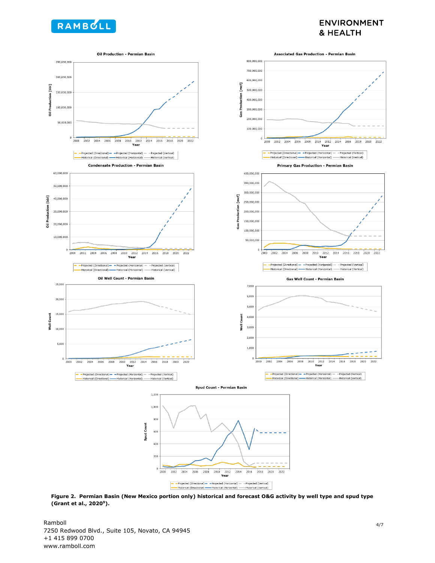

### **ENVIRONMENT** & HEALTH



**Figure 2. Permian Basin (New Mexico portion only) historical and forecast O&G activity by well type and spud type (Grant et al., 202[09\)](#page-0-10).**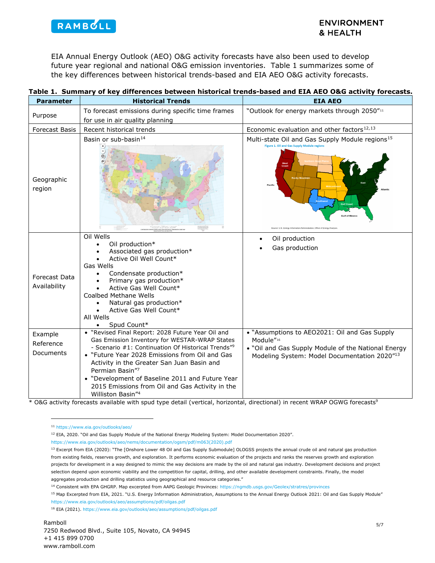

### <span id="page-4-0"></span>**ENVIRONMENT** & HEALTH

EIA Annual Energy Outlook (AEO) O&G activity forecasts have also been used to develop future year regional and national O&G emission inventories. Table 1 summarizes some of the key differences between historical trends-based and EIA AEO O&G activity forecasts.

| <b>Parameter</b>                  | <b>Historical Trends</b>                                                                                                                                                                                                                                                                                                                                                                                                       | <b>EIA AEO</b>                                                                                                                                                                                      |
|-----------------------------------|--------------------------------------------------------------------------------------------------------------------------------------------------------------------------------------------------------------------------------------------------------------------------------------------------------------------------------------------------------------------------------------------------------------------------------|-----------------------------------------------------------------------------------------------------------------------------------------------------------------------------------------------------|
| Purpose                           | To forecast emissions during specific time frames                                                                                                                                                                                                                                                                                                                                                                              | "Outlook for energy markets through 2050" <sup>11</sup>                                                                                                                                             |
|                                   | for use in air quality planning                                                                                                                                                                                                                                                                                                                                                                                                |                                                                                                                                                                                                     |
| <b>Forecast Basis</b>             | Recent historical trends                                                                                                                                                                                                                                                                                                                                                                                                       | Economic evaluation and other factors <sup>12,13</sup>                                                                                                                                              |
| Geographic<br>region              | Basin or sub-basin <sup>14</sup><br>$^{(+)}$                                                                                                                                                                                                                                                                                                                                                                                   | Multi-state Oil and Gas Supply Module regions <sup>15</sup><br>Figure 1, Oil and Gas Supply Module regions<br>Pacific<br><b>Sulf of May</b><br>J.S. Energy Information Administration. Office of Er |
| Forecast Data<br>Availability     | Oil Wells<br>Oil production*<br>Associated gas production*<br>Active Oil Well Count*<br>Gas Wells<br>Condensate production*<br>Primary gas production*<br>Active Gas Well Count*<br><b>Coalbed Methane Wells</b><br>Natural gas production*<br>Active Gas Well Count*<br>All Wells<br>Spud Count*                                                                                                                              | Oil production<br>Gas production                                                                                                                                                                    |
| Example<br>Reference<br>Documents | • "Revised Final Report: 2028 Future Year Oil and<br>Gas Emission Inventory for WESTAR-WRAP States<br>- Scenario #1: Continuation Of Historical Trends" <sup>9</sup><br>• "Future Year 2028 Emissions from Oil and Gas<br>Activity in the Greater San Juan Basin and<br>Permian Basin"7<br>• "Development of Baseline 2011 and Future Year<br>2015 Emissions from Oil and Gas Activity in the<br>Williston Basin" <sup>4</sup> | • "Assumptions to AEO2021: Oil and Gas Supply<br>Module"16<br>. "Oil and Gas Supply Module of the National Energy<br>Modeling System: Model Documentation 2020"13                                   |

#### **Table 1. Summary of key differences between historical trends-based and EIA AEO O&G activity forecasts.**

<span id="page-4-2"></span><span id="page-4-1"></span>\* O&G activity forecasts available with spud type detail (vertical, horizontal, directional) in recent WRAP OGWG forecasts<sup>9</sup>

<sup>11</sup> <https://www.eia.gov/outlooks/aeo/>

<sup>12</sup> EIA, 2020. "Oil and Gas Supply Module of the National Energy Modeling System: Model Documentation 2020".

[https://www.eia.gov/outlooks/aeo/nems/documentation/ogsm/pdf/m063\(2020\).pdf](https://www.eia.gov/outlooks/aeo/nems/documentation/ogsm/pdf/m063(2020).pdf) 

<span id="page-4-3"></span><sup>&</sup>lt;sup>13</sup> Excerpt from EIA (2020): "The [Onshore Lower 48 Oil and Gas Supply Submodule] OLOGSS projects the annual crude oil and natural gas production from existing fields, reserves growth, and exploration. It performs economic evaluation of the projects and ranks the reserves growth and exploration projects for development in a way designed to mimic the way decisions are made by the oil and natural gas industry. Development decisions and project selection depend upon economic viability and the competition for capital, drilling, and other available development constraints. Finally, the model aggregates production and drilling statistics using geographical and resource categories."

<sup>14</sup> Consistent with EPA GHGRP. Map excerpted from AAPG Geologic Provinces:<https://ngmdb.usgs.gov/Geolex/stratres/provinces>

<span id="page-4-5"></span><span id="page-4-4"></span><sup>&</sup>lt;sup>15</sup> Map Excerpted from EIA, 2021. "U.S. Energy Information Administration, Assumptions to the Annual Energy Outlook 2021: Oil and Gas Supply Module" <https://www.eia.gov/outlooks/aeo/assumptions/pdf/oilgas.pdf>

<span id="page-4-6"></span><sup>16</sup> EIA (2021)[. https://www.eia.gov/outlooks/aeo/assumptions/pdf/oilgas.pdf](https://www.eia.gov/outlooks/aeo/assumptions/pdf/oilgas.pdf)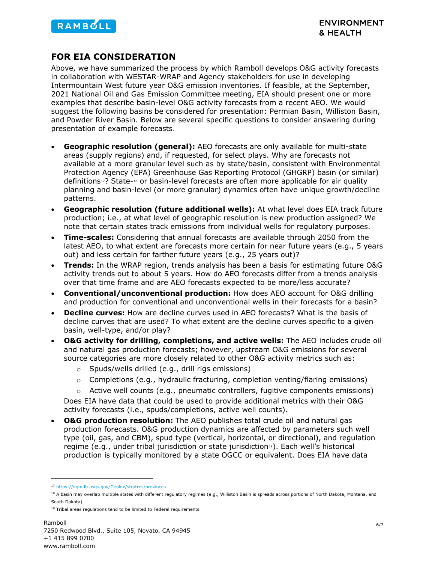

## **FOR EIA CONSIDERATION**

Above, we have summarized the process by which Ramboll develops O&G activity forecasts in collaboration with WESTAR-WRAP and Agency stakeholders for use in developing Intermountain West future year O&G emission inventories. If feasible, at the September, 2021 National Oil and Gas Emission Committee meeting, EIA should present one or more examples that describe basin-level O&G activity forecasts from a recent AEO. We would suggest the following basins be considered for presentation: Permian Basin, Williston Basin, and Powder River Basin. Below are several specific questions to consider answering during presentation of example forecasts.

- **Geographic resolution (general):** AEO forecasts are only available for multi-state areas (supply regions) and, if requested, for select plays. Why are forecasts not available at a more granular level such as by state/basin, consistent with Environmental Protection Agency (EPA) Greenhouse Gas Reporting Protocol (GHGRP) basin (or similar) definitions[17](#page-5-0)? State-[18](#page-5-1) or basin-level forecasts are often more applicable for air quality planning and basin-level (or more granular) dynamics often have unique growth/decline patterns.
- **Geographic resolution (future additional wells):** At what level does EIA track future production; i.e., at what level of geographic resolution is new production assigned? We note that certain states track emissions from individual wells for regulatory purposes.
- **Time-scales:** Considering that annual forecasts are available through 2050 from the latest AEO, to what extent are forecasts more certain for near future years (e.g., 5 years out) and less certain for farther future years (e.g., 25 years out)?
- **Trends:** In the WRAP region, trends analysis has been a basis for estimating future O&G activity trends out to about 5 years. How do AEO forecasts differ from a trends analysis over that time frame and are AEO forecasts expected to be more/less accurate?
- **Conventional/unconventional production:** How does AEO account for O&G drilling and production for conventional and unconventional wells in their forecasts for a basin?
- **Decline curves:** How are decline curves used in AEO forecasts? What is the basis of decline curves that are used? To what extent are the decline curves specific to a given basin, well-type, and/or play?
- **O&G activity for drilling, completions, and active wells:** The AEO includes crude oil and natural gas production forecasts; however, upstream O&G emissions for several source categories are more closely related to other O&G activity metrics such as:
	- o Spuds/wells drilled (e.g., drill rigs emissions)
	- $\circ$  Completions (e.g., hydraulic fracturing, completion venting/flaring emissions)
	- $\circ$  Active well counts (e.g., pneumatic controllers, fugitive components emissions)

Does EIA have data that could be used to provide additional metrics with their O&G activity forecasts (i.e., spuds/completions, active well counts).

• **O&G production resolution:** The AEO publishes total crude oil and natural gas production forecasts. O&G production dynamics are affected by parameters such well type (oil, gas, and CBM), spud type (vertical, horizontal, or directional), and regulation regime (e.g., under tribal jurisdiction or state jurisdiction[19\)](#page-5-2). Each well's historical production is typically monitored by a state OGCC or equivalent. Does EIA have data

<span id="page-5-0"></span><sup>17</sup> <https://ngmdb.usgs.gov/Geolex/stratres/provinces>

<span id="page-5-1"></span><sup>&</sup>lt;sup>18</sup> A basin may overlap multiple states with different regulatory regimes (e.g., Williston Basin is spreads across portions of North Dakota, Montana, and South Dakota).

<span id="page-5-2"></span><sup>&</sup>lt;sup>19</sup> Tribal areas regulations tend to be limited to Federal requirements.